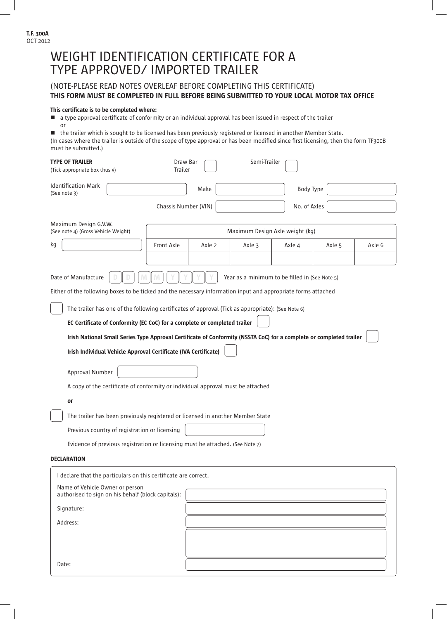# Name of Vehicle Owner or person authorised to sign on his behalf (block capitals): Signature: Address: WEIGHT IDENTIFICATION CERTIFICATE FOR A TYPE APPROVED/ IMPORTED TRAILER (NOTE-PLEASE READ NOTES OVERLEAF BEFORE COMPLETING THIS CERTIFICATE) THIS FORM MUST BE COMPLETED IN FULL BEFORE BEING SUBMITTED TO YOUR LOCAL MOTOR TAX OFFICE This certificate is to be completed where:  $\blacksquare$  a type approval certificate of conformity or an individual approval has been issued in respect of the trailer or ■ the trailer which is sought to be licensed has been previously registered or licensed in another Member State. (In cases where the trailer is outside of the scope of type approval or has been modified since first licensing, then the form TF300B must be submitted.) **DECLARATION** TYPE OF TRAILER (Tick appropriate box thus √) Identification Mark (See note 3) Date of Manufacture Either of the following boxes to be ticked and the necessary information input and appropriate forms attached The trailer has one of the following certificates of approval (Tick as appropriate): (See Note 6) EC Certificate of Conformity (EC CoC) for a complete or completed trailer Irish National Small Series Type Approval Certificate of Conformity (NSSTA CoC) for a complete or completed trailer Irish Individual Vehicle Approval Certificate (IVA Certificate) The trailer has been previously registered or licensed in another Member State Previous country of registration or licensing Evidence of previous registration or licensing must be attached. (See Note 7) or Approval Number A copy of the certificate of conformity or individual approval must be attached Year as a minimum to be filled in (See Note 5) Maximum Design G.V.W. (See note 4) (Gross Vehicle Weight) Maximum Design Axle weight (kg) kg Draw Bar Trailer Make Front Axle | Axle 2 | Axle 3 | Axle 4 | Axle 5 | Axle 6 Chassis Number (VIN) No. of Axles Body Type Semi-Trailer I declare that the particulars on this certificate are correct.

Date: